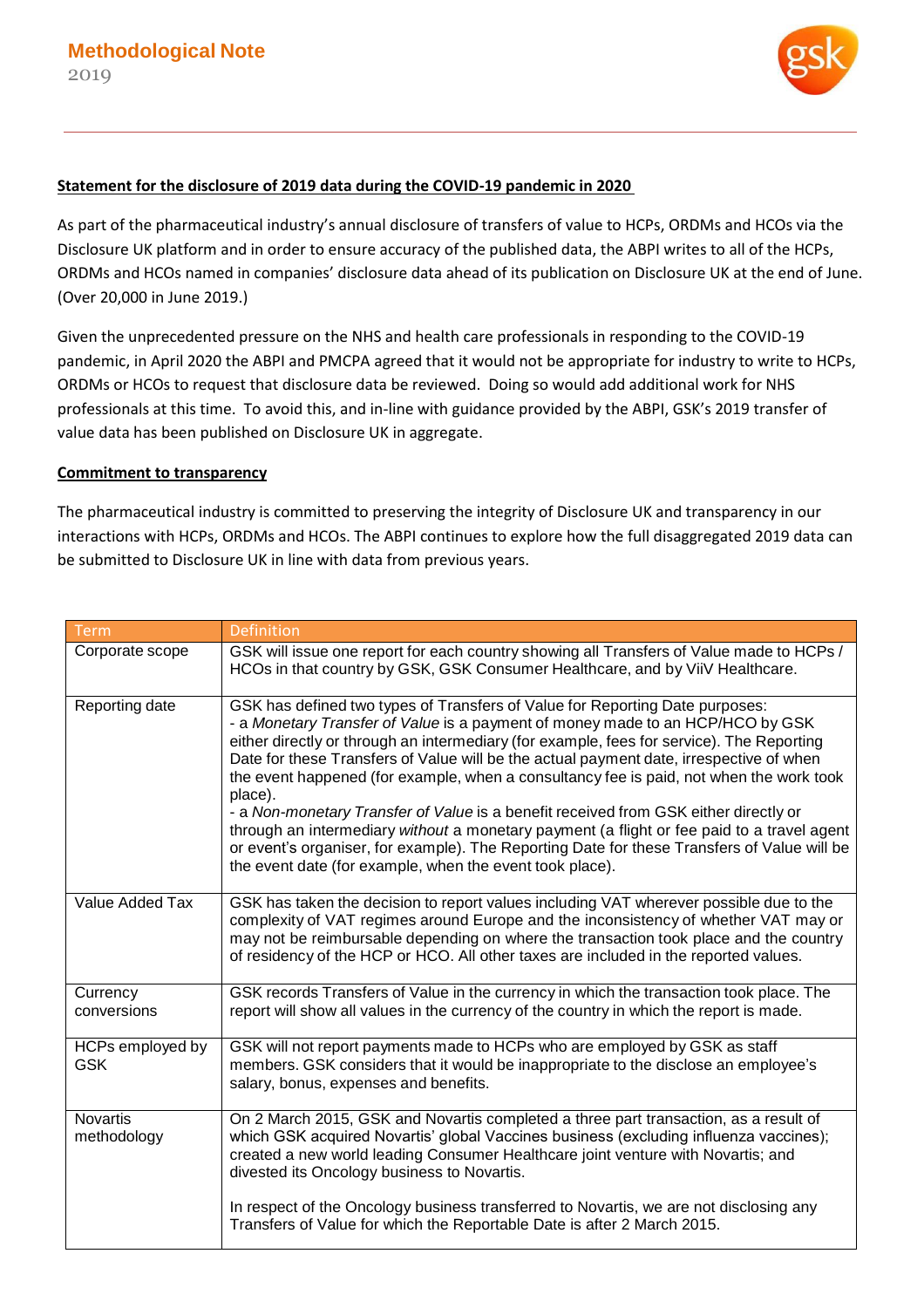

## **Statement for the disclosure of 2019 data during the COVID-19 pandemic in 2020**

As part of the pharmaceutical industry's annual disclosure of transfers of value to HCPs, ORDMs and HCOs via the Disclosure UK platform and in order to ensure accuracy of the published data, the ABPI writes to all of the HCPs, ORDMs and HCOs named in companies' disclosure data ahead of its publication on Disclosure UK at the end of June. (Over 20,000 in June 2019.)

Given the unprecedented pressure on the NHS and health care professionals in responding to the COVID-19 pandemic, in April 2020 the ABPI and PMCPA agreed that it would not be appropriate for industry to write to HCPs, ORDMs or HCOs to request that disclosure data be reviewed. Doing so would add additional work for NHS professionals at this time. To avoid this, and in-line with guidance provided by the ABPI, GSK's 2019 transfer of value data has been published on Disclosure UK in aggregate.

## **Commitment to transparency**

The pharmaceutical industry is committed to preserving the integrity of Disclosure UK and transparency in our interactions with HCPs, ORDMs and HCOs. The ABPI continues to explore how the full disaggregated 2019 data can be submitted to Disclosure UK in line with data from previous years.

| <b>Term</b>                    | Definition                                                                                                                                                                                                                                                                                                                                                                                                                                                                                                                                                                                                                                                                                                                                                                                                    |
|--------------------------------|---------------------------------------------------------------------------------------------------------------------------------------------------------------------------------------------------------------------------------------------------------------------------------------------------------------------------------------------------------------------------------------------------------------------------------------------------------------------------------------------------------------------------------------------------------------------------------------------------------------------------------------------------------------------------------------------------------------------------------------------------------------------------------------------------------------|
| Corporate scope                | GSK will issue one report for each country showing all Transfers of Value made to HCPs /<br>HCOs in that country by GSK, GSK Consumer Healthcare, and by ViiV Healthcare.                                                                                                                                                                                                                                                                                                                                                                                                                                                                                                                                                                                                                                     |
| Reporting date                 | GSK has defined two types of Transfers of Value for Reporting Date purposes:<br>- a Monetary Transfer of Value is a payment of money made to an HCP/HCO by GSK<br>either directly or through an intermediary (for example, fees for service). The Reporting<br>Date for these Transfers of Value will be the actual payment date, irrespective of when<br>the event happened (for example, when a consultancy fee is paid, not when the work took<br>place).<br>- a Non-monetary Transfer of Value is a benefit received from GSK either directly or<br>through an intermediary without a monetary payment (a flight or fee paid to a travel agent<br>or event's organiser, for example). The Reporting Date for these Transfers of Value will be<br>the event date (for example, when the event took place). |
| Value Added Tax                | GSK has taken the decision to report values including VAT wherever possible due to the<br>complexity of VAT regimes around Europe and the inconsistency of whether VAT may or<br>may not be reimbursable depending on where the transaction took place and the country<br>of residency of the HCP or HCO. All other taxes are included in the reported values.                                                                                                                                                                                                                                                                                                                                                                                                                                                |
| Currency<br>conversions        | GSK records Transfers of Value in the currency in which the transaction took place. The<br>report will show all values in the currency of the country in which the report is made.                                                                                                                                                                                                                                                                                                                                                                                                                                                                                                                                                                                                                            |
| HCPs employed by<br><b>GSK</b> | GSK will not report payments made to HCPs who are employed by GSK as staff<br>members. GSK considers that it would be inappropriate to the disclose an employee's<br>salary, bonus, expenses and benefits.                                                                                                                                                                                                                                                                                                                                                                                                                                                                                                                                                                                                    |
| Novartis<br>methodology        | On 2 March 2015, GSK and Novartis completed a three part transaction, as a result of<br>which GSK acquired Novartis' global Vaccines business (excluding influenza vaccines);<br>created a new world leading Consumer Healthcare joint venture with Novartis; and<br>divested its Oncology business to Novartis.                                                                                                                                                                                                                                                                                                                                                                                                                                                                                              |
|                                | In respect of the Oncology business transferred to Novartis, we are not disclosing any<br>Transfers of Value for which the Reportable Date is after 2 March 2015.                                                                                                                                                                                                                                                                                                                                                                                                                                                                                                                                                                                                                                             |